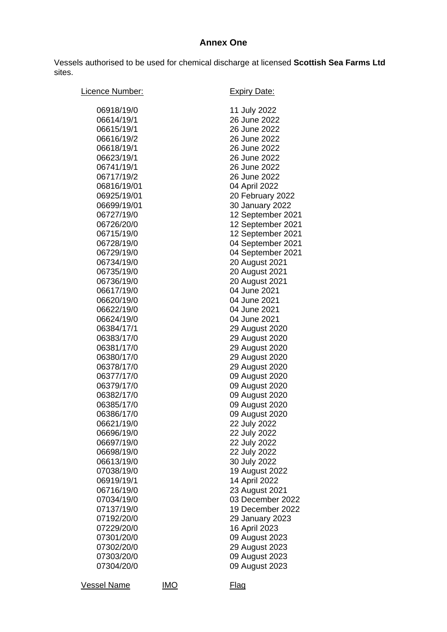## **Annex One**

Vessels authorised to be used for chemical discharge at licensed **Scottish Sea Farms Ltd** sites.

| Licence Number:                                                                                                                                                                                                                                                                                                                                               |            | <b>Expiry Date:</b>                                                                                                                                                                                                                                                                                                                                                                                                                                     |
|---------------------------------------------------------------------------------------------------------------------------------------------------------------------------------------------------------------------------------------------------------------------------------------------------------------------------------------------------------------|------------|---------------------------------------------------------------------------------------------------------------------------------------------------------------------------------------------------------------------------------------------------------------------------------------------------------------------------------------------------------------------------------------------------------------------------------------------------------|
| 06918/19/0<br>06614/19/1<br>06615/19/1<br>06616/19/2<br>06618/19/1<br>06623/19/1<br>06741/19/1<br>06717/19/2<br>06816/19/01<br>06925/19/01<br>06699/19/01<br>06727/19/0<br>06726/20/0<br>06715/19/0<br>06728/19/0<br>06729/19/0<br>06734/19/0<br>06735/19/0<br>06736/19/0<br>06617/19/0<br>06620/19/0<br>06622/19/0<br>06624/19/0<br>06384/17/1<br>06383/17/0 |            | 11 July 2022<br>26 June 2022<br>26 June 2022<br>26 June 2022<br>26 June 2022<br>26 June 2022<br>26 June 2022<br>26 June 2022<br>04 April 2022<br>20 February 2022<br>30 January 2022<br>12 September 2021<br>12 September 2021<br>12 September 2021<br>04 September 2021<br>04 September 2021<br>20 August 2021<br>20 August 2021<br>20 August 2021<br>04 June 2021<br>04 June 2021<br>04 June 2021<br>04 June 2021<br>29 August 2020<br>29 August 2020 |
| 06381/17/0<br>06380/17/0<br>06378/17/0<br>06377/17/0<br>06379/17/0<br>06382/17/0<br>06385/17/0<br>06386/17/0<br>06621/19/0<br>06696/19/0                                                                                                                                                                                                                      |            | 29 August 2020<br>29 August 2020<br>29 August 2020<br>09 August 2020<br>09 August 2020<br>09 August 2020<br>09 August 2020<br>09 August 2020<br>22 July 2022<br>22 July 2022                                                                                                                                                                                                                                                                            |
| 06697/19/0<br>06698/19/0<br>06613/19/0<br>07038/19/0<br>06919/19/1<br>06716/19/0<br>07034/19/0<br>07137/19/0<br>07192/20/0<br>07229/20/0<br>07301/20/0<br>07302/20/0<br>07303/20/0<br>07304/20/0                                                                                                                                                              |            | 22 July 2022<br>22 July 2022<br>30 July 2022<br>19 August 2022<br>14 April 2022<br>23 August 2021<br>03 December 2022<br>19 December 2022<br>29 January 2023<br>16 April 2023<br>09 August 2023<br>29 August 2023<br>09 August 2023<br>09 August 2023                                                                                                                                                                                                   |
| <b>Vessel Name</b>                                                                                                                                                                                                                                                                                                                                            | <u>IMO</u> | <u>Flag</u>                                                                                                                                                                                                                                                                                                                                                                                                                                             |